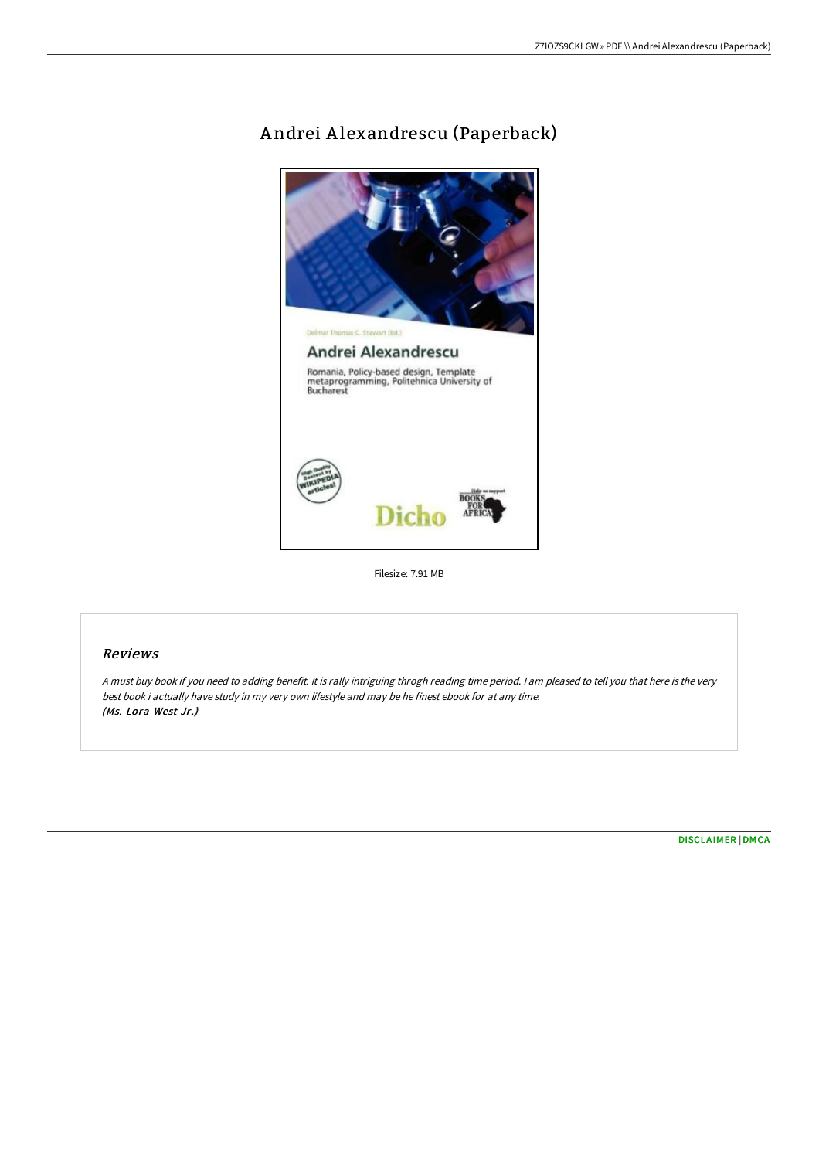# A ndrei A lexandrescu (Paperback)



Filesize: 7.91 MB

## Reviews

<sup>A</sup> must buy book if you need to adding benefit. It is rally intriguing throgh reading time period. <sup>I</sup> am pleased to tell you that here is the very best book i actually have study in my very own lifestyle and may be he finest ebook for at any time. (Ms. Lora West Jr.)

[DISCLAIMER](http://bookera.tech/disclaimer.html) | [DMCA](http://bookera.tech/dmca.html)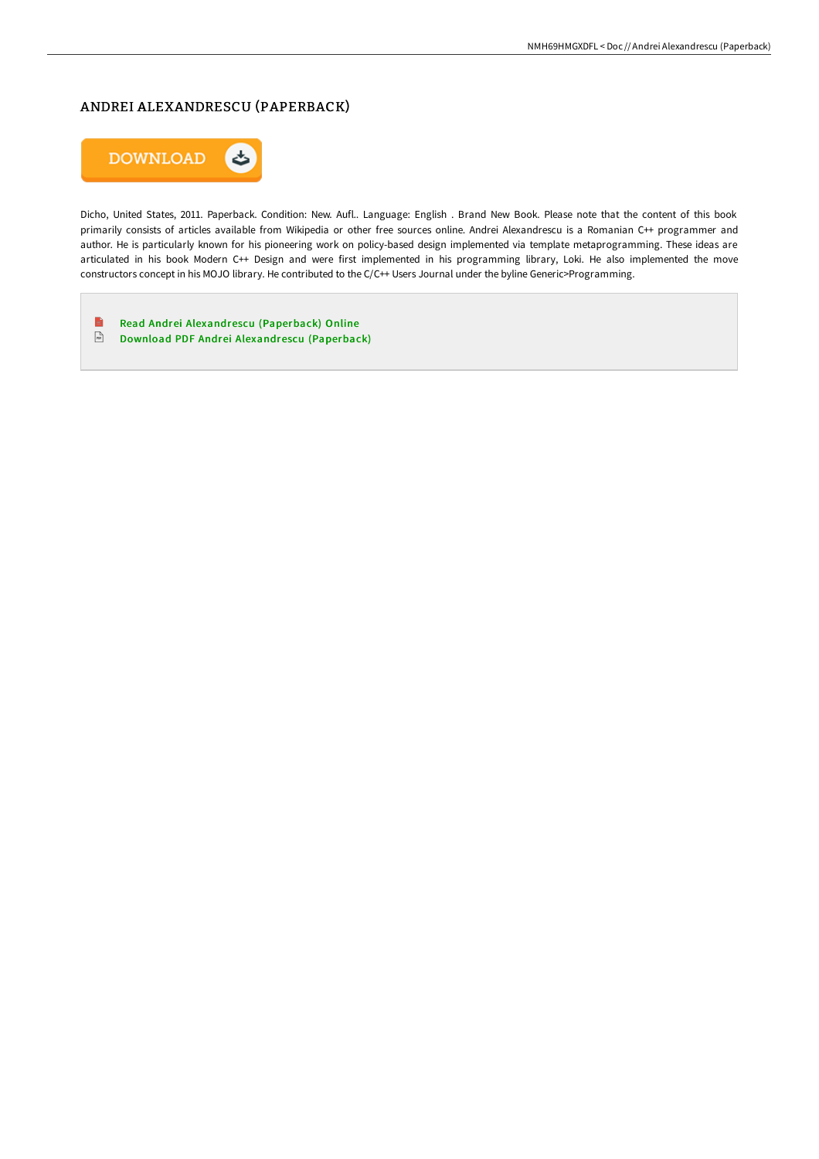# ANDREI ALEXANDRESCU (PAPERBACK)



Dicho, United States, 2011. Paperback. Condition: New. Aufl.. Language: English . Brand New Book. Please note that the content of this book primarily consists of articles available from Wikipedia or other free sources online. Andrei Alexandrescu is a Romanian C++ programmer and author. He is particularly known for his pioneering work on policy-based design implemented via template metaprogramming. These ideas are articulated in his book Modern C++ Design and were first implemented in his programming library, Loki. He also implemented the move constructors concept in his MOJO library. He contributed to the C/C++ Users Journal under the byline Generic>Programming.

 $\blacksquare$ Read Andrei [Alexandrescu](http://bookera.tech/andrei-alexandrescu-paperback.html) (Paperback) Online Download PDF Andrei [Alexandrescu](http://bookera.tech/andrei-alexandrescu-paperback.html) (Paperback)